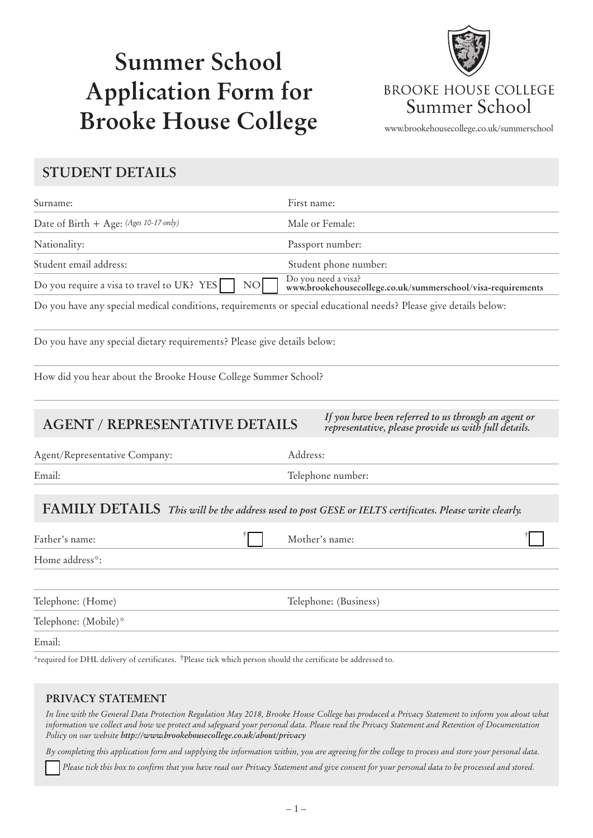# **Summer School Application Form for Brooke House College**



### **BROOKE HOUSE COLLEGE** Summer School

www.brookehousecollege.co.uk/summerschool

### **STUDENT DETAILS**

| Surname:                                                                                                          | First name:                                                                                                              |  |  |  |  |  |
|-------------------------------------------------------------------------------------------------------------------|--------------------------------------------------------------------------------------------------------------------------|--|--|--|--|--|
| Date of Birth + Age: (Ages 10-17 only)                                                                            | Male or Female:                                                                                                          |  |  |  |  |  |
| Nationality:                                                                                                      | Passport number:                                                                                                         |  |  |  |  |  |
| Student email address:                                                                                            | Student phone number:                                                                                                    |  |  |  |  |  |
| Do you require a visa to travel to UK? YES<br>NO <sub>1</sub>                                                     | Do you need a visa?<br>www.brookehousecollege.co.uk/summerschool/visa-requirements                                       |  |  |  |  |  |
| Do you have any special medical conditions, requirements or special educational needs? Please give details below: |                                                                                                                          |  |  |  |  |  |
| Do you have any special dietary requirements? Please give details below:                                          |                                                                                                                          |  |  |  |  |  |
| How did you hear about the Brooke House College Summer School?                                                    |                                                                                                                          |  |  |  |  |  |
| <b>AGENT / REPRESENTATIVE DETAILS</b>                                                                             | If you have been referred to us through an agent or<br>representative, please provide us with full details.              |  |  |  |  |  |
| Agent/Representative Company:                                                                                     | Address:                                                                                                                 |  |  |  |  |  |
| Email:                                                                                                            | Telephone number:                                                                                                        |  |  |  |  |  |
| Father's name:                                                                                                    | FAMILY DETAILS This will be the address used to post GESE or IELTS certificates. Please write clearly.<br>Mother's name: |  |  |  |  |  |
| Home address*:                                                                                                    |                                                                                                                          |  |  |  |  |  |
|                                                                                                                   |                                                                                                                          |  |  |  |  |  |
| Telephone: (Home)                                                                                                 | Telephone: (Business)                                                                                                    |  |  |  |  |  |
| Telephone: (Mobile)*                                                                                              |                                                                                                                          |  |  |  |  |  |
| Email:                                                                                                            |                                                                                                                          |  |  |  |  |  |

\*required for DHL delivery of certificates. †Please tick which person should the certificate be addressed to.

#### **PRIVACY STATEMENT**

*In line with the General Data Protection Regulation May 2018, Brooke House College has produced a Privacy Statement to inform you about what information we collect and how we protect and safeguard your personal data. Please read the Privacy Statement and Retention of Documentation Policy on our website http://www.brookehousecollege.co.uk/about/privacy*

*By completing this application form and supplying the information within, you are agreeing for the college to process and store your personal data.* 

*Please tick this box to confirm that you have read our Privacy Statement and give consent for your personal data to be processed and stored.*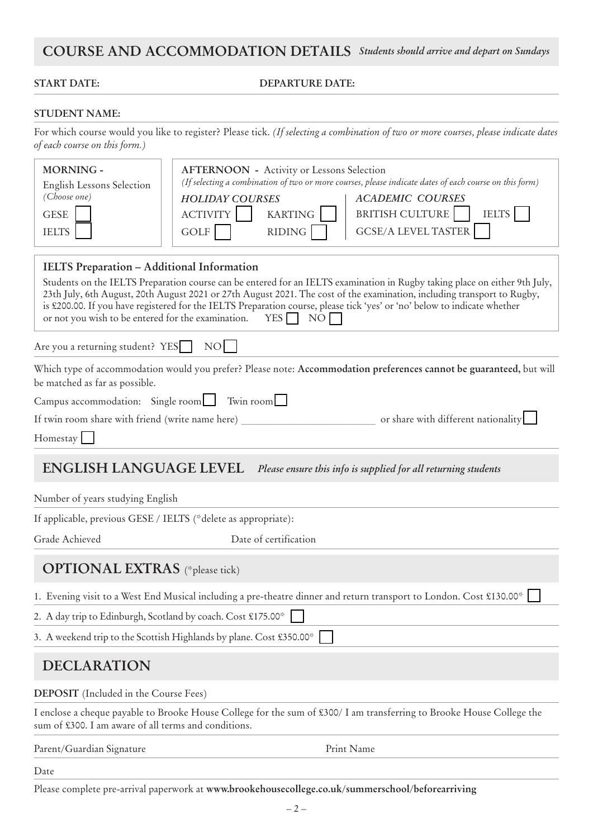### *Students should arrive and depart on Sundays* **COURSE AND ACCOMMODATION DETAILS**

**START DATE: DEPARTURE DATE:**

#### **STUDENT NAME:**

For which course would you like to register? Please tick. *(If selecting a combination of two or more courses, please indicate dates of each course on this form.)* 

| MORNING -<br>English Lessons Selection<br>(Choose one)<br><b>GESE</b><br><b>IELTS</b> | <b>AFTERNOON</b> - Activity or Lessons Selection<br>(If selecting a combination of two or more courses, please indicate dates of each course on this form)<br><b>HOLIDAY COURSES</b><br><b>ACADEMIC COURSES</b><br>BRITISH CULTURE<br><b>IELTS</b><br>ACTIVITY    <br><b>KARTING</b><br><b>GCSE/A LEVEL TASTER</b><br><b>GOLF</b><br><b>RIDING</b>                                                                                                       |  |  |  |  |  |
|---------------------------------------------------------------------------------------|----------------------------------------------------------------------------------------------------------------------------------------------------------------------------------------------------------------------------------------------------------------------------------------------------------------------------------------------------------------------------------------------------------------------------------------------------------|--|--|--|--|--|
| IELTS Preparation - Additional Information                                            | Students on the IELTS Preparation course can be entered for an IELTS examination in Rugby taking place on either 9th July,<br>23th July, 6th August, 20th August 2021 or 27th August 2021. The cost of the examination, including transport to Rugby,<br>is £200.00. If you have registered for the IELTS Preparation course, please tick 'yes' or 'no' below to indicate whether<br>or not you wish to be entered for the examination. YES $\Box$<br>NO |  |  |  |  |  |
| Are you a returning student? YES                                                      | $NO$                                                                                                                                                                                                                                                                                                                                                                                                                                                     |  |  |  |  |  |
| be matched as far as possible.                                                        | Which type of accommodation would you prefer? Please note: Accommodation preferences cannot be guaranteed, but will                                                                                                                                                                                                                                                                                                                                      |  |  |  |  |  |
| Campus accommodation: Single room Twin room                                           |                                                                                                                                                                                                                                                                                                                                                                                                                                                          |  |  |  |  |  |
|                                                                                       | or share with different nationality<br>If twin room share with friend (write name here) _______________________________                                                                                                                                                                                                                                                                                                                                  |  |  |  |  |  |
| Homestay                                                                              |                                                                                                                                                                                                                                                                                                                                                                                                                                                          |  |  |  |  |  |
| <b>ENGLISH LANGUAGE LEVEL</b>                                                         | Please ensure this info is supplied for all returning students                                                                                                                                                                                                                                                                                                                                                                                           |  |  |  |  |  |
| Number of years studying English                                                      |                                                                                                                                                                                                                                                                                                                                                                                                                                                          |  |  |  |  |  |
| If applicable, previous GESE / IELTS (*delete as appropriate):                        |                                                                                                                                                                                                                                                                                                                                                                                                                                                          |  |  |  |  |  |
| Grade Achieved                                                                        | Date of certification                                                                                                                                                                                                                                                                                                                                                                                                                                    |  |  |  |  |  |
| <b>OPTIONAL EXTRAS</b> (*please tick)                                                 |                                                                                                                                                                                                                                                                                                                                                                                                                                                          |  |  |  |  |  |
|                                                                                       | 1. Evening visit to a West End Musical including a pre-theatre dinner and return transport to London. Cost £130.00*                                                                                                                                                                                                                                                                                                                                      |  |  |  |  |  |
| 2. A day trip to Edinburgh, Scotland by coach. Cost £175.00*                          |                                                                                                                                                                                                                                                                                                                                                                                                                                                          |  |  |  |  |  |
| 3. A weekend trip to the Scottish Highlands by plane. Cost £350.00*                   |                                                                                                                                                                                                                                                                                                                                                                                                                                                          |  |  |  |  |  |
| <b>DECLARATION</b>                                                                    |                                                                                                                                                                                                                                                                                                                                                                                                                                                          |  |  |  |  |  |
| <b>DEPOSIT</b> (Included in the Course Fees)                                          |                                                                                                                                                                                                                                                                                                                                                                                                                                                          |  |  |  |  |  |
| sum of £300. I am aware of all terms and conditions.                                  | I enclose a cheque payable to Brooke House College for the sum of £300/ I am transferring to Brooke House College the                                                                                                                                                                                                                                                                                                                                    |  |  |  |  |  |
| Parent/Guardian Signature                                                             | Print Name                                                                                                                                                                                                                                                                                                                                                                                                                                               |  |  |  |  |  |
| Date                                                                                  |                                                                                                                                                                                                                                                                                                                                                                                                                                                          |  |  |  |  |  |

Please complete pre-arrival paperwork at **www.brookehousecollege.co.uk/summerschool/beforearriving**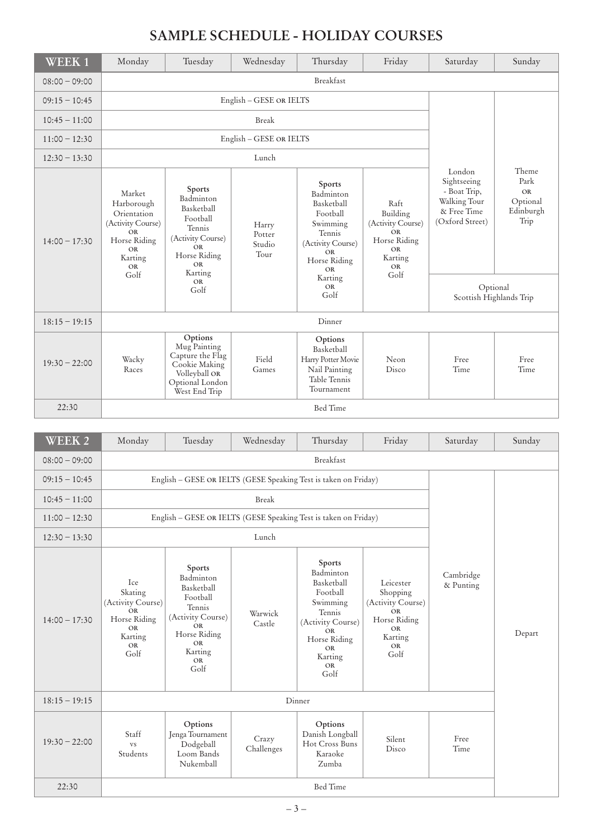## **SAMPLE SCHEDULE - HOLIDAY COURSES**

| <b>WEEK1</b>    | Monday                                                                                                                       | Tuesday                                                                                                                                         | Wednesday                         | Thursday                                                                                                                                                           | Friday                                                                                                          | Saturday                                                                                                                       | Sunday                                                      |  |
|-----------------|------------------------------------------------------------------------------------------------------------------------------|-------------------------------------------------------------------------------------------------------------------------------------------------|-----------------------------------|--------------------------------------------------------------------------------------------------------------------------------------------------------------------|-----------------------------------------------------------------------------------------------------------------|--------------------------------------------------------------------------------------------------------------------------------|-------------------------------------------------------------|--|
| $08:00 - 09:00$ | Breakfast                                                                                                                    |                                                                                                                                                 |                                   |                                                                                                                                                                    |                                                                                                                 |                                                                                                                                |                                                             |  |
| $09:15 - 10:45$ |                                                                                                                              | English - GESE OR IELTS                                                                                                                         |                                   |                                                                                                                                                                    |                                                                                                                 |                                                                                                                                |                                                             |  |
| $10:45 - 11:00$ |                                                                                                                              |                                                                                                                                                 |                                   |                                                                                                                                                                    |                                                                                                                 |                                                                                                                                |                                                             |  |
| $11:00 - 12:30$ |                                                                                                                              | English - GESE OR IELTS                                                                                                                         |                                   |                                                                                                                                                                    |                                                                                                                 |                                                                                                                                |                                                             |  |
| $12:30 - 13:30$ |                                                                                                                              |                                                                                                                                                 | Lunch                             |                                                                                                                                                                    |                                                                                                                 |                                                                                                                                |                                                             |  |
| $14:00 - 17:30$ | Market<br>Harborough<br>Orientation<br>(Activity Course)<br>OR.<br>Horse Riding<br><b>OR</b><br>Karting<br><b>OR</b><br>Golf | Sports<br>Badminton<br>Basketball<br>Football<br>Tennis<br>(Activity Course)<br><b>OR</b><br>Horse Riding<br><b>OR</b><br>Karting<br>OR<br>Golf | Harry<br>Potter<br>Studio<br>Tour | <b>Sports</b><br>Badminton<br>Basketball<br>Football<br>Swimming<br>Tennis<br>(Activity Course)<br>OR<br>Horse Riding<br><b>OR</b><br>Karting<br><b>OR</b><br>Golf | Raft<br>Building<br>(Activity Course)<br><b>OR</b><br>Horse Riding<br><b>OR</b><br>Karting<br><b>OR</b><br>Golf | London<br>Sightseeing<br>- Boat Trip,<br>Walking Tour<br>& Free Time<br>(Oxford Street)<br>Optional<br>Scottish Highlands Trip | Theme<br>Park<br><b>OR</b><br>Optional<br>Edinburgh<br>Trip |  |
| $18:15 - 19:15$ | Dinner                                                                                                                       |                                                                                                                                                 |                                   |                                                                                                                                                                    |                                                                                                                 |                                                                                                                                |                                                             |  |
| $19:30 - 22:00$ | Wacky<br>Races                                                                                                               | Options<br>Mug Painting<br>Capture the Flag<br>Cookie Making<br>Volleyball OR<br>Optional London<br>West End Trip                               | Field<br>Games                    | Options<br>Basketball<br>Harry Potter Movie<br>Nail Painting<br>Table Tennis<br>Tournament                                                                         | Neon<br>Disco                                                                                                   | Free<br>Time                                                                                                                   | Free<br>Time                                                |  |
| 22:30           | <b>Bed Time</b>                                                                                                              |                                                                                                                                                 |                                   |                                                                                                                                                                    |                                                                                                                 |                                                                                                                                |                                                             |  |

| WEEK 2          | Monday                                                                                                        | Tuesday                                                                                                                                         | Wednesday           | Thursday                                                                                                                                                    | Friday                                                                                           | Saturday               | Sunday |  |
|-----------------|---------------------------------------------------------------------------------------------------------------|-------------------------------------------------------------------------------------------------------------------------------------------------|---------------------|-------------------------------------------------------------------------------------------------------------------------------------------------------------|--------------------------------------------------------------------------------------------------|------------------------|--------|--|
| $08:00 - 09:00$ | Breakfast                                                                                                     |                                                                                                                                                 |                     |                                                                                                                                                             |                                                                                                  |                        |        |  |
| $09:15 - 10:45$ |                                                                                                               | English - GESE OR IELTS (GESE Speaking Test is taken on Friday)                                                                                 |                     |                                                                                                                                                             |                                                                                                  |                        |        |  |
| $10:45 - 11:00$ | <b>Break</b>                                                                                                  |                                                                                                                                                 |                     |                                                                                                                                                             |                                                                                                  |                        |        |  |
| $11:00 - 12:30$ |                                                                                                               | English - GESE OR IELTS (GESE Speaking Test is taken on Friday)                                                                                 |                     |                                                                                                                                                             |                                                                                                  |                        |        |  |
| $12:30 - 13:30$ |                                                                                                               |                                                                                                                                                 | Lunch               |                                                                                                                                                             |                                                                                                  |                        |        |  |
| $14:00 - 17:30$ | Ice<br>Skating<br>(Activity Course)<br><b>OR</b><br>Horse Riding<br><b>OR</b><br>Karting<br><b>OR</b><br>Golf | <b>Sports</b><br>Badminton<br>Basketball<br>Football<br>Tennis<br>(Activity Course)<br>OR<br>Horse Riding<br><b>OR</b><br>Karting<br>OR<br>Golf | Warwick<br>Castle   | Sports<br>Badminton<br>Basketball<br>Football<br>Swimming<br>Tennis<br>(Activity Course)<br>OR<br>Horse Riding<br><b>OR</b><br>Karting<br><b>OR</b><br>Golf | Leicester<br>Shopping<br>(Activity Course)<br>OR.<br>Horse Riding<br>OR<br>Karting<br>OR<br>Golf | Cambridge<br>& Punting | Depart |  |
| $18:15 - 19:15$ | Dinner                                                                                                        |                                                                                                                                                 |                     |                                                                                                                                                             |                                                                                                  |                        |        |  |
| $19:30 - 22:00$ | Staff<br><b>VS</b><br>Students                                                                                | Options<br>Jenga Tournament<br>Dodgeball<br>Loom Bands<br>Nukemball                                                                             | Crazy<br>Challenges | Options<br>Danish Longball<br>Hot Cross Buns<br>Karaoke<br>Zumba                                                                                            | Silent<br>Disco                                                                                  | Free<br>Time           |        |  |
| 22:30           | <b>Bed Time</b>                                                                                               |                                                                                                                                                 |                     |                                                                                                                                                             |                                                                                                  |                        |        |  |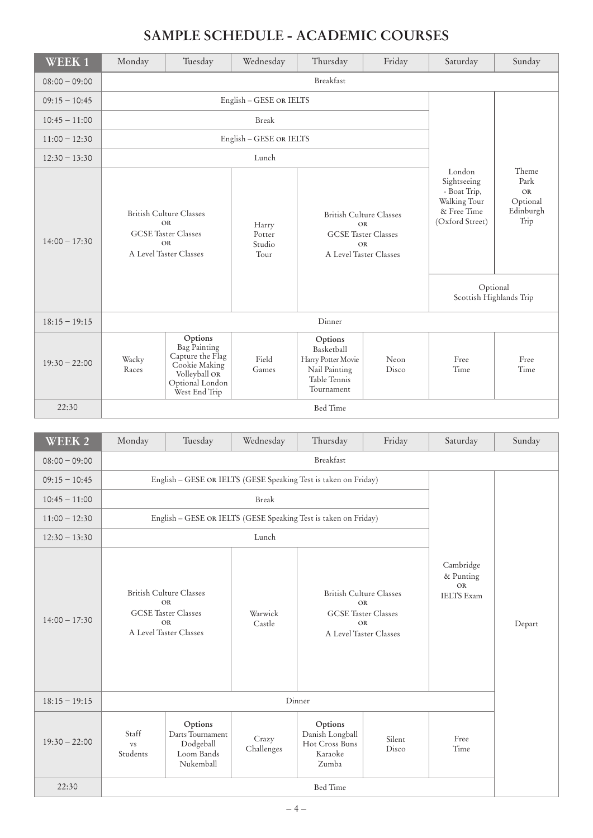## **SAMPLE SCHEDULE - ACADEMIC COURSES**

| WEEK <sub>1</sub> | Monday          | Tuesday                                                                                                           | Wednesday                         | Thursday                                                                                                         | Friday        | Saturday                                                                                                                       | Sunday                                                      |  |
|-------------------|-----------------|-------------------------------------------------------------------------------------------------------------------|-----------------------------------|------------------------------------------------------------------------------------------------------------------|---------------|--------------------------------------------------------------------------------------------------------------------------------|-------------------------------------------------------------|--|
| $08:00 - 09:00$   |                 | Breakfast                                                                                                         |                                   |                                                                                                                  |               |                                                                                                                                |                                                             |  |
| $09:15 - 10:45$   |                 | English - GESE OR IELTS                                                                                           |                                   |                                                                                                                  |               |                                                                                                                                |                                                             |  |
| $10:45 - 11:00$   |                 |                                                                                                                   |                                   |                                                                                                                  |               |                                                                                                                                |                                                             |  |
| $11:00 - 12:30$   |                 | English - GESE OR IELTS                                                                                           |                                   |                                                                                                                  |               |                                                                                                                                |                                                             |  |
| $12:30 - 13:30$   |                 |                                                                                                                   | Lunch                             |                                                                                                                  |               |                                                                                                                                |                                                             |  |
| $14:00 - 17:30$   |                 | <b>British Culture Classes</b><br><b>OR</b><br><b>GCSE Taster Classes</b><br><b>OR</b><br>A Level Taster Classes  | Harry<br>Potter<br>Studio<br>Tour | <b>British Culture Classes</b><br><b>OR</b><br><b>GCSE Taster Classes</b><br><b>OR</b><br>A Level Taster Classes |               | London<br>Sightseeing<br>- Boat Trip,<br>Walking Tour<br>& Free Time<br>(Oxford Street)<br>Optional<br>Scottish Highlands Trip | Theme<br>Park<br><b>OR</b><br>Optional<br>Edinburgh<br>Trip |  |
| $18:15 - 19:15$   | Dinner          |                                                                                                                   |                                   |                                                                                                                  |               |                                                                                                                                |                                                             |  |
| $19:30 - 22:00$   | Wacky<br>Races  | Options<br>Bag Painting<br>Capture the Flag<br>Cookie Making<br>Volleyball OR<br>Optional London<br>West End Trip | Field<br>Games                    | Options<br>Basketball<br>Harry Potter Movie<br>Nail Painting<br>Table Tennis<br>Tournament                       | Neon<br>Disco | Free<br>Time                                                                                                                   | Free<br>Time                                                |  |
| 22:30             | <b>Bed Time</b> |                                                                                                                   |                                   |                                                                                                                  |               |                                                                                                                                |                                                             |  |

| WEEK 2          | Monday                                                                                                           | Tuesday                                                             | Wednesday           | Thursday                                                                                                         | Friday          | Saturday                                                 | Sunday |
|-----------------|------------------------------------------------------------------------------------------------------------------|---------------------------------------------------------------------|---------------------|------------------------------------------------------------------------------------------------------------------|-----------------|----------------------------------------------------------|--------|
| $08:00 - 09:00$ | Breakfast                                                                                                        |                                                                     |                     |                                                                                                                  |                 |                                                          |        |
| $09:15 - 10:45$ | English - GESE OR IELTS (GESE Speaking Test is taken on Friday)                                                  |                                                                     |                     |                                                                                                                  |                 |                                                          |        |
| $10:45 - 11:00$ |                                                                                                                  |                                                                     |                     |                                                                                                                  |                 |                                                          |        |
| $11:00 - 12:30$ |                                                                                                                  | English - GESE OR IELTS (GESE Speaking Test is taken on Friday)     |                     |                                                                                                                  |                 |                                                          |        |
| $12:30 - 13:30$ |                                                                                                                  |                                                                     | Lunch               |                                                                                                                  |                 |                                                          |        |
| $14:00 - 17:30$ | <b>British Culture Classes</b><br><b>OR</b><br><b>GCSE Taster Classes</b><br><b>OR</b><br>A Level Taster Classes |                                                                     | Warwick<br>Castle   | <b>British Culture Classes</b><br><b>OR</b><br><b>GCSE</b> Taster Classes<br><b>OR</b><br>A Level Taster Classes |                 | Cambridge<br>& Punting<br><b>OR</b><br><b>IELTS</b> Exam | Depart |
| $18:15 - 19:15$ | Dinner                                                                                                           |                                                                     |                     |                                                                                                                  |                 |                                                          |        |
| $19:30 - 22:00$ | Staff<br><b>VS</b><br>Students                                                                                   | Options<br>Darts Tournament<br>Dodgeball<br>Loom Bands<br>Nukemball | Crazy<br>Challenges | Options<br>Danish Longball<br>Hot Cross Buns<br>Karaoke<br>Zumba                                                 | Silent<br>Disco | Free<br>Time                                             |        |
| 22:30           | Bed Time                                                                                                         |                                                                     |                     |                                                                                                                  |                 |                                                          |        |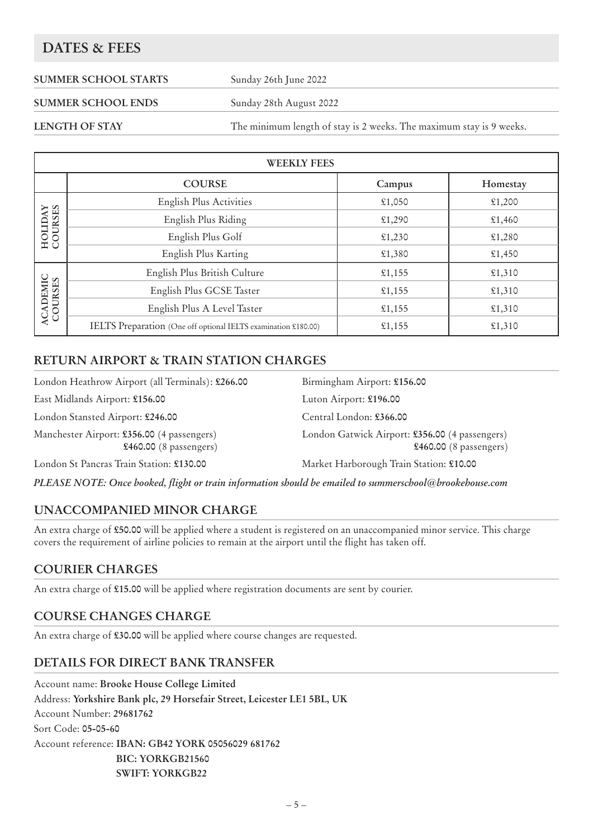### **DATES & FEES**

#### **SUMMER SCHOOL STARTS** Sunday 26th June 2022

#### **SUMMER SCHOOL ENDS** Sunday 28th August 2022

**LENGTH OF STAY** The minimum length of stay is 2 weeks. The maximum stay is 9 weeks.

| <b>WEEKLY FEES</b>                                                             |                                                                |         |          |  |  |  |
|--------------------------------------------------------------------------------|----------------------------------------------------------------|---------|----------|--|--|--|
|                                                                                | <b>COURSE</b>                                                  | Campus  | Homestay |  |  |  |
|                                                                                | English Plus Activities                                        | £1,050  | \$1,200  |  |  |  |
|                                                                                | English Plus Riding                                            | £1,290  | \$1,460  |  |  |  |
| HOLIDAY<br>COURSES<br>English Plus Golf<br>English Plus Karting                |                                                                | £1,230  | \$1,280  |  |  |  |
|                                                                                |                                                                | £1,380  | \$1,450  |  |  |  |
|                                                                                | English Plus British Culture                                   | £1,155  | \$1,310  |  |  |  |
| ACADEMIC<br>COURSES<br>English Plus GCSE Taster<br>English Plus A Level Taster |                                                                | £1,155  | \$1,310  |  |  |  |
|                                                                                |                                                                | \$1,155 | \$1,310  |  |  |  |
|                                                                                | IELTS Preparation (One off optional IELTS examination £180.00) | £1,155  | \$1,310  |  |  |  |

### **RETURN AIRPORT & TRAIN STATION CHARGES**

| London Heathrow Airport (all Terminals): £266.00                       | Birmingham Airport: £156.00                                                |
|------------------------------------------------------------------------|----------------------------------------------------------------------------|
| East Midlands Airport: £156.00                                         | Luton Airport: £196.00                                                     |
| London Stansted Airport: £246.00                                       | Central London: £366.00                                                    |
| Manchester Airport: £356.00 (4 passengers)<br>$$460.00$ (8 passengers) | London Gatwick Airport: £356.00 (4 passengers)<br>$$460.00$ (8 passengers) |
| London St Pancras Train Station: £130.00                               | Market Harborough Train Station: £10.00                                    |

*PLEASE NOTE: Once booked, flight or train information should be emailed to summerschool@brookehouse.com* 

### **UNACCOMPANIED MINOR CHARGE**

An extra charge of **£50.00** will be applied where a student is registered on an unaccompanied minor service. This charge covers the requirement of airline policies to remain at the airport until the flight has taken off.

### **COURIER CHARGES**

An extra charge of **£15.00** will be applied where registration documents are sent by courier.

### **COURSE CHANGES CHARGE**

An extra charge of **£30.00** will be applied where course changes are requested.

### **DETAILS FOR DIRECT BANK TRANSFER**

Account name: **Brooke House College Limited** Address: **Yorkshire Bank plc, 29 Horsefair Street, Leicester LE1 5BL, UK** Account Number: **29681762** Sort Code: **05-05-60** Account reference: **IBAN: GB42 YORK 05056029 681762 BIC: YORKGB21560 SWIFT: YORKGB22**